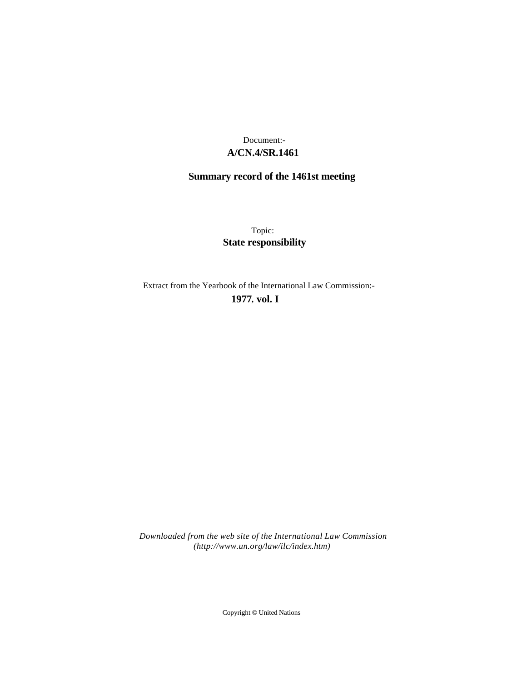# **A/CN.4/SR.1461** Document:-

# **Summary record of the 1461st meeting**

Topic: **State responsibility**

Extract from the Yearbook of the International Law Commission:-

**1977** , **vol. I**

*Downloaded from the web site of the International Law Commission (http://www.un.org/law/ilc/index.htm)*

Copyright © United Nations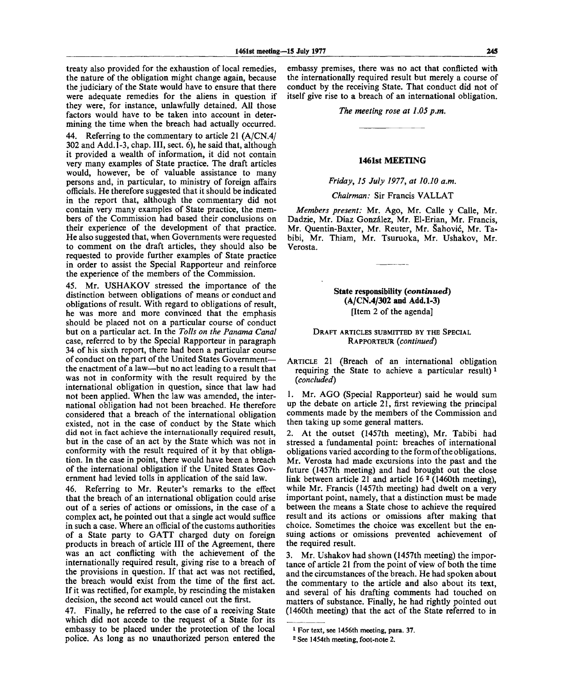treaty also provided for the exhaustion of local remedies, the nature of the obligation might change again, because the judiciary of the State would have to ensure that there were adequate remedies for the aliens in question if they were, for instance, unlawfully detained. All those factors would have to be taken into account in determining the time when the breach had actually occurred.

44. Referring to the commentary to article 21 (A/CN.4/ 302 and Add. 1-3, chap. **Ill,** sect. 6), he said that, although it provided a wealth of information, it did not contain very many examples of State practice. The draft articles would, however, be of valuable assistance to many persons and, in particular, to ministry of foreign affairs officials. He therefore suggested that it should be indicated in the report that, although the commentary did not contain very many examples of State practice, the members of the Commission had based their conclusions on their experience of the development of that practice. He also suggested that, when Governments were requested to comment on the draft articles, they should also be requested to provide further examples of State practice in order to assist the Special Rapporteur and reinforce the experience of the members of the Commission.

45. Mr. USHAKOV stressed the importance of the distinction between obligations of means or conduct and obligations of result. With regard to obligations of result, he was more and more convinced that the emphasis should be placed not on a particular course of conduct but on a particular act. In the *Tolls on the Panama Canal* case, referred to by the Special Rapporteur in paragraph 34 of his sixth report, there had been a particular course of conduct on the part of the United States Government the enactment of a law—but no act leading to a result that was not in conformity with the result required by the international obligation in question, since that law had not been applied. When the law was amended, the international obligation had not been breached. He therefore considered that a breach of the international obligation existed, not in the case of conduct by the State which did not in fact achieve the internationally required result, but in the case of an act by the State which was not in conformity with the result required of it by that obligation. In the case in point, there would have been a breach of the international obligation if the United States Government had levied tolls in application of the said law.

46. Referring to Mr. Reuter's remarks to the effect that the breach of an international obligation could arise out of a series of actions or omissions, in the case of a complex act, he pointed out that a single act would suffice in such a case. Where an official of the customs authorities of a State party to GATT charged duty on foreign products in breach of article III of the Agreement, there was an act conflicting with the achievement of the internationally required result, giving rise to a breach of the provisions in question. If that act was not rectified, the breach would exist from the time of the first act. If it was rectified, for example, by rescinding the mistaken decision, the second act would cancel out the first.

47. Finally, he referred to the case of a receiving State which did not accede to the request of a State for its embassy to be placed under the protection of the local police. As long as no unauthorized person entered the

embassy premises, there was no act that conflicted **with** the internationally required result but merely **a** course of conduct by the receiving State. That conduct **did not** of itself give rise to **a** breach of an international obligation.

#### *The meeting rose at 1.05 p.m.*

# **1461st MEETING**

*Friday, 15 July 1977, at 10.10 a.m.*

### *Chairman:* Sir Francis VALLAT

*Members present:* Mr. Ago, Mr. Calle y Calle, Mr. Dadzie, Mr. Diaz Gonzalez, Mr. El-Erian, Mr. Francis, Mr. Quentin-Baxter, Mr. Reuter, Mr. Šahović, Mr. Tabibi, Mr. Thiam, Mr. Tsuruoka, Mr. Ushakov, Mr. Verosta.

> **State responsibility** *(continued)* **(A/CN.4/302 and Add.1-3)** [Item 2 of the agenda]

# DRAFT ARTICLES SUBMITTED BY THE SPECIAL RAPPORTEUR *(continued)*

ARTICLE 21 (Breach of an international obligation requiring the State to achieve a particular result)  *1 (concluded)*

1. Mr. AGO (Special Rapporteur) said he would sum up the debate on article 21, first reviewing the principal comments made by the members of the Commission and then taking up some general matters.

2. At the outset (1457th meeting), Mr. Tabibi had stressed a fundamental point: breaches of international obligations varied according to the form of the obligations. Mr. Verosta had made excursions into the past and the future (1457th meeting) and had brought out the close link between article 21 and article 16<sup>2</sup> (1460th meeting), while Mr. Francis (1457th meeting) had dwelt on a very important point, namely, that a distinction must be made between the means a State chose to achieve the required result and its actions or omissions after making that choice. Sometimes the choice was excellent but the ensuing actions or omissions prevented achievement of the required result.

3. Mr. Ushakov had shown (1457th meeting) the importance of article 21 from the point of view of both the time and the circumstances of the breach. He had spoken about the commentary to the article and also about its text, and several of his drafting comments had touched on matters of substance. Finally, he had rightly pointed out (1460th meeting) that the act of the State referred to in

<sup>1</sup> For text, see 1456th meeting, para. 37.

<sup>2</sup> See 1454th meeting, foot-note 2.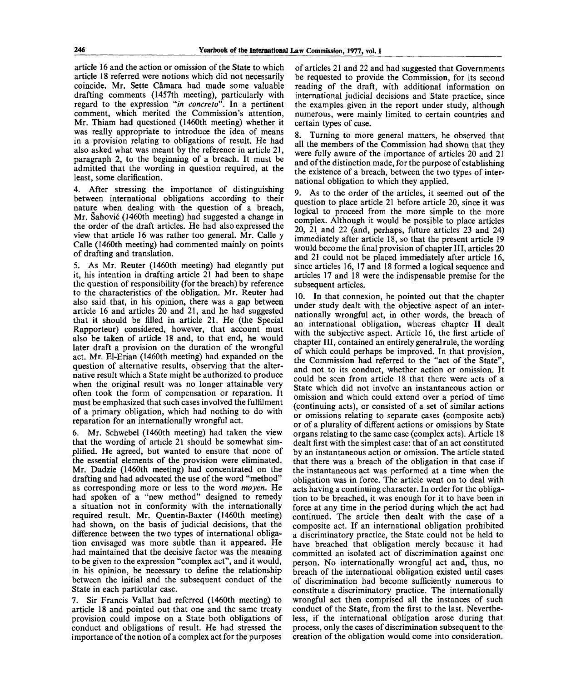article 16 and the action or omission of the State to which article 18 referred were notions which did not necessarily coincide. Mr. Sette Camara had made some valuable drafting comments (1457th meeting), particularly with regard to the expression "in concreto". In a pertinent comment, which merited the Commission's attention, Mr. Thiam had questioned (1460th meeting) whether it was really appropriate to introduce the idea of means in a provision relating to obligations of result. He had also asked what was meant by the reference in article 21, paragraph 2, to the beginning of a breach. It must be admitted that the wording in question required, at the least, some clarification.

4. After stressing the importance of distinguishing between international obligations according to their nature when dealing with the question of a breach, Mr. Sahovic (1460th meeting) had suggested a change in the order of the draft articles. He had also expressed the view that article 16 was rather too general. Mr. Calle y Calle (1460th meeting) had commented mainly on points of drafting and translation.

5. As Mr. Reuter (1460th meeting) had elegantly put it, his intention in drafting article 21 had been to shape the question of responsibility (for the breach) by reference to the characteristics of the obligation. Mr. Reuter had also said that, in his opinion, there was a gap between article 16 and articles 20 and 21, and he had suggested that it should be filled in article 21. He (the Special Rapporteur) considered, however, that account must also be taken of article 18 and, to that end, he would later draft a provision on the duration of the wrongful act. Mr. El-Erian (1460th meeting) had expanded on the question of alternative results, observing that the alternative result which a State might be authorized to produce when the original result was no longer attainable very often took the form of compensation or reparation. It must be emphasized that such cases involved the fulfilment of a primary obligation, which had nothing to do with reparation for an internationally wrongful act.

6. Mr. Schwebel (1460th meeting) had taken the view that the wording of article 21 should be somewhat simplified. He agreed, but wanted to ensure that none of the essential elements of the provision were eliminated. Mr. Dadzie (1460th meeting) had concentrated on the drafting and had advocated the use of the word "method" as corresponding more or less to the word *moyen.* He had spoken of a "new method" designed to remedy a situation not in conformity with the internationally required result. Mr. Quentin-Baxter (1460th meeting) had shown, on the basis of judicial decisions, that the difference between the two types of international obligation envisaged was more subtle than it appeared. He had maintained that the decisive factor was the meaning to be given to the expression "complex act", and it would, in his opinion, be necessary to define the relationship between the initial and the subsequent conduct of the State in each particular case.

7. Sir Francis Vallat had referred (1460th meeting) to article 18 and pointed out that one and the same treaty provision could impose on a State both obligations of conduct and obligations of result. He had stressed the importance of the notion of a complex act for the purposes

of articles 21 and 22 and had suggested that Governments be requested to provide the Commission, for its second reading of the draft, with additional information on international judicial decisions and State practice, since the examples given in the report under study, although numerous, were mainly limited to certain countries and certain types of case.

8. Turning to more general matters, he observed that all the members of the Commission had shown that they were fully aware of the importance of articles 20 and 21 and of the distinction made, for the purpose of establishing the existence of a breach, between the two types of international obligation to which they applied.

9. As to the order of the articles, it seemed out of the question to place article 21 before article 20, since it was logical to proceed from the more simple to the more complex. Although it would be possible to place articles 20, 21 and 22 (and, perhaps, future articles 23 and 24) immediately after article 18, so that the present article 19 would become the final provision of chapter III, articles 20 and 21 could not be placed immediately after article 16, since articles 16, 17 and 18 formed a logical sequence and articles 17 and 18 were the indispensable premise for the subsequent articles.

10. In that connexion, he pointed out that the chapter under study dealt with the objective aspect of an internationally wrongful act, in other words, the breach of an international obligation, whereas chapter II dealt with the subjective aspect. Article 16, the first article of chapter III, contained an entirely general rule, the wording of which could perhaps be improved. In that provision, the Commission had referred to the "act of the State", and not to its conduct, whether action or omission. It could be seen from article 18 that there were acts of a State which did not involve an instantaneous action or omission and which could extend over a period of time (continuing acts), or consisted of a set of similar actions or omissions relating to separate cases (composite acts) or of a plurality of different actions or omissions by State organs relating to the same case (complex acts). Article 18 dealt first with the simplest case: that of an act constituted by an instantaneous action or omission. The article stated that there was a breach of the obligation in that case if the instantaneous act was performed at a time when the obligation was in force. The article went on to deal with acts having a continuing character. In order for the obligation to be breached, it was enough for it to have been in force at any time in the period during which the act had continued. The article then dealt with the case of a composite act. If an international obligation prohibited a discriminatory practice, the State could not be held to have breached that obligation merely because it had committed an isolated act of discrimination against one person. No internationally wrongful act and, thus, no breach of the international obligation existed until cases of discrimination had become sufficiently numerous to constitute a discriminatory practice. The internationally wrongful act then comprised all the instances of such conduct of the State, from the first to the last. Nevertheless, if the international obligation arose during that process, only the cases of discrimination subsequent to the creation of the obligation would come into consideration.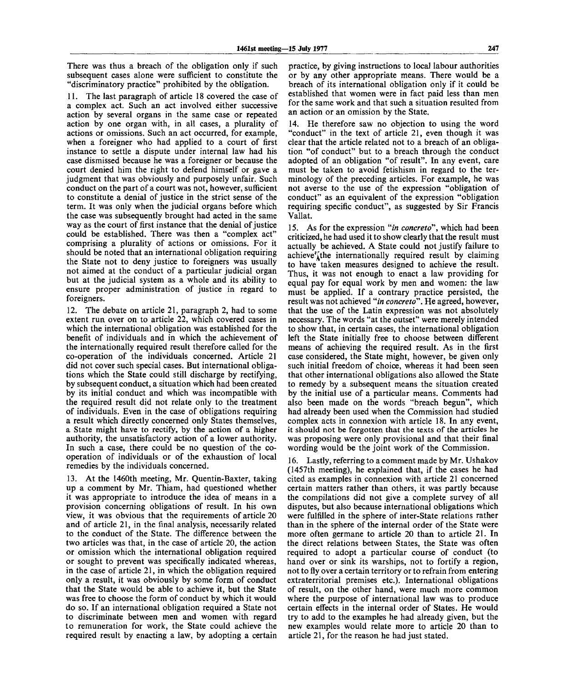There was thus a breach of the obligation only if such subsequent cases alone were sufficient to constitute the "discriminatory practice" prohibited by the obligation.

11. The last paragraph of article 18 covered the case of a complex act. Such an act involved either successive action by several organs in the same case or repeated action by one organ with, in all cases, a plurality of actions or omissions. Such an act occurred, for example, when a foreigner who had applied to a court of first instance to settle a dispute under internal law had his case dismissed because he was a foreigner or because the court denied him the right to defend himself or gave a judgment that was obviously and purposely unfair. Such conduct on the part of a court was not, however, sufficient to constitute a denial of justice in the strict sense of the term. It was only when the judicial organs before which the case was subsequently brought had acted in the same way as the court of first instance that the denial of justice could be established. There was then a "complex act" comprising a plurality of actions or omissions. For it should be noted that an international obligation requiring the State not to deny justice to foreigners was usually not aimed at the conduct of a particular judicial organ but at the judicial system as a whole and its ability to ensure proper administration of justice in regard to foreigners.

12. The debate on article 21, paragraph 2, had to some extent run over on to article 22, which covered cases in which the international obligation was established for the benefit of individuals and in which the achievement of the internationally required result therefore called for the co-operation of the individuals concerned. Article 21 did not cover such special cases. But international obligations which the State could still discharge by rectifying, by subsequent conduct, a situation which had been created by its initial conduct and which was incompatible with the required result did not relate only to the treatment of individuals. Even in the case of obligations requiring a result which directly concerned only States themselves, a State might have to rectify, by the action of a higher authority, the unsatisfactory action of a lower authority. In such a case, there could be no question of the cooperation of individuals or of the exhaustion of local remedies by the individuals concerned.

13. At the 1460th meeting, Mr. Quentin-Baxter, taking up a comment by Mr. Thiam, had questioned whether it was appropriate to introduce the idea of means in a provision concerning obligations of result. In his own view, it was obvious that the requirements of article 20 and of article 21, in the final analysis, necessarily related to the conduct of the State. The difference between the two articles was that, in the case of article 20, the action or omission which the international obligation required or sought to prevent was specifically indicated whereas, in the case of article 21, in which the obligation required only a result, it was obviously by some form of conduct that the State would be able to achieve it, but the State was free to choose the form of conduct by which it would do so. If an international obligation required a State not to discriminate between men and women with regard to remuneration for work, the State could achieve the required result by enacting a law, by adopting a certain practice, by giving instructions to local labour authorities or by any other appropriate means. There would be a breach of its international obligation only if it could be established that women were in fact paid less than men for the same work and that such a situation resulted from an action or an omission by the State.

14. He therefore saw no objection to using the word "conduct" in the text of article 21, even though it was clear that the article related not to a breach of an obligation "of conduct" but to a breach through the conduct adopted of an obligation "of result". In any event, care must be taken to avoid fetishism in regard to the terminology of the preceding articles. For example, he was not averse to the use of the expression "obligation of conduct" as an equivalent of the expression "obligation requiring specific conduct", as suggested by Sir Francis Vallat.

15. As for the expression *"in concreto",* which had been criticized, he had used it to show clearly that the result must actually be achieved. A State could not justify failure to achieve<sup> $Y_{\lambda}$ </sup>the internationally required result by claiming to have taken measures designed to achieve the result. Thus, it was not enough to enact a law providing for equal pay for equal work by men and women: the law must be applied. If a contrary practice persisted, the result was not achieved *"in concrete".* He agreed, however, that the use of the Latin expression was not absolutely necessary. The words "at the outset" were merely intended to show that, in certain cases, the international obligation left the State initially free to choose between different means of achieving the required result. As in the first case considered, the State might, however, be given only such initial freedom of choice, whereas it had been seen that other international obligations also allowed the State to remedy by a subsequent means the situation created by the initial use of a particular means. Comments had also been made on the words "breach begun", which had already been used when the Commission had studied complex acts in connexion with article 18. In any event, it should not be forgotten that the texts of the articles he was proposing were only provisional and that their final wording would be the joint work of the Commission.

16. Lastly, referring to a comment made by Mr. Ushakov (1457th meeting), he explained that, if the cases he had cited as examples in connexion with article 21 concerned certain matters rather than others, it was partly because the compilations did not give a complete survey of all disputes, but also because international obligations which were fulfilled in the sphere of inter-State relations rather than in the sphere of the internal order of the State were more often germane to article 20 than to article 21. In the direct relations between States, the State was often required to adopt a particular course of conduct (to hand over or sink its warships, not to fortify a region, not to fly over a certain territory or to refrain from entering extraterritorial premises etc.). International obligations of result, on the other hand, were much more common where the purpose of international law was to produce certain effects in the internal order of States. He would try to add to the examples he had already given, but the new examples would relate more to article 20 than to article 21, for the reason he had just stated.